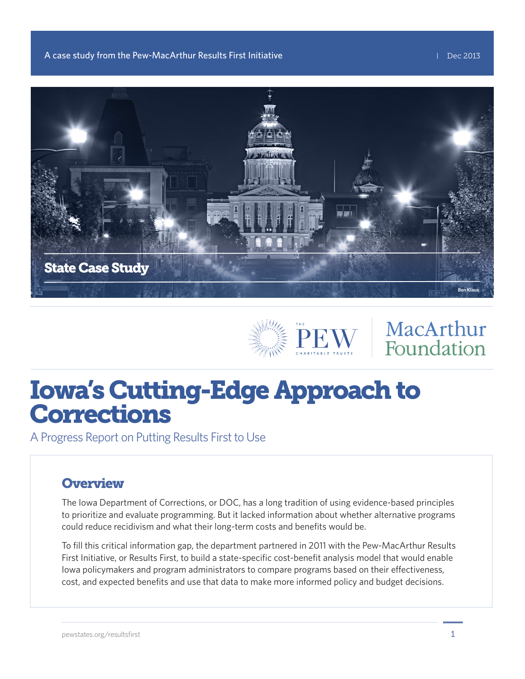



# MacArthur Foundation

# Iowa's Cutting-Edge Approach to Corrections

A Progress Report on Putting Results First to Use

#### **Overview**

The Iowa Department of Corrections, or DOC, has a long tradition of using evidence-based principles to prioritize and evaluate programming. But it lacked information about whether alternative programs could reduce recidivism and what their long-term costs and benefits would be.

To fill this critical information gap, the department partnered in 2011 with the Pew-MacArthur Results First Initiative, or Results First, to build a state-specific cost-benefit analysis model that would enable Iowa policymakers and program administrators to compare programs based on their effectiveness, cost, and expected benefits and use that data to make more informed policy and budget decisions.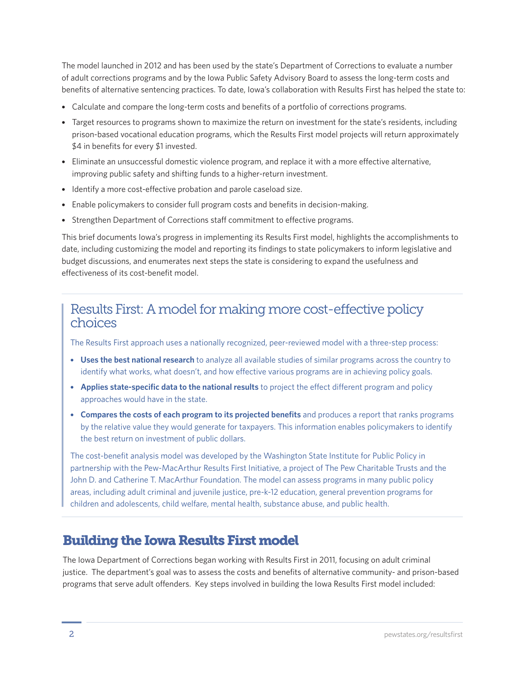The model launched in 2012 and has been used by the state's Department of Corrections to evaluate a number of adult corrections programs and by the Iowa Public Safety Advisory Board to assess the long-term costs and benefits of alternative sentencing practices. To date, Iowa's collaboration with Results First has helped the state to:

- Calculate and compare the long-term costs and benefits of a portfolio of corrections programs.
- Target resources to programs shown to maximize the return on investment for the state's residents, including prison-based vocational education programs, which the Results First model projects will return approximately \$4 in benefits for every \$1 invested.
- Eliminate an unsuccessful domestic violence program, and replace it with a more effective alternative, improving public safety and shifting funds to a higher-return investment.
- Identify a more cost-effective probation and parole caseload size.
- Enable policymakers to consider full program costs and benefits in decision-making.
- Strengthen Department of Corrections staff commitment to effective programs.

This brief documents Iowa's progress in implementing its Results First model, highlights the accomplishments to date, including customizing the model and reporting its findings to state policymakers to inform legislative and budget discussions, and enumerates next steps the state is considering to expand the usefulness and effectiveness of its cost-benefit model.

#### Results First: A model for making more cost-effective policy choices

The Results First approach uses a nationally recognized, peer-reviewed model with a three-step process:

- **Uses the best national research** to analyze all available studies of similar programs across the country to identify what works, what doesn't, and how effective various programs are in achieving policy goals.
- **Applies state-specific data to the national results** to project the effect different program and policy approaches would have in the state.
- **Compares the costs of each program to its projected benefits** and produces a report that ranks programs by the relative value they would generate for taxpayers. This information enables policymakers to identify the best return on investment of public dollars.

The cost-benefit analysis model was developed by the Washington State Institute for Public Policy in partnership with the Pew-MacArthur Results First Initiative, a project of The Pew Charitable Trusts and the John D. and Catherine T. MacArthur Foundation. The model can assess programs in many public policy areas, including adult criminal and juvenile justice, pre-k-12 education, general prevention programs for children and adolescents, child welfare, mental health, substance abuse, and public health.

#### Building the Iowa Results First model

The Iowa Department of Corrections began working with Results First in 2011, focusing on adult criminal justice. The department's goal was to assess the costs and benefits of alternative community- and prison-based programs that serve adult offenders. Key steps involved in building the Iowa Results First model included: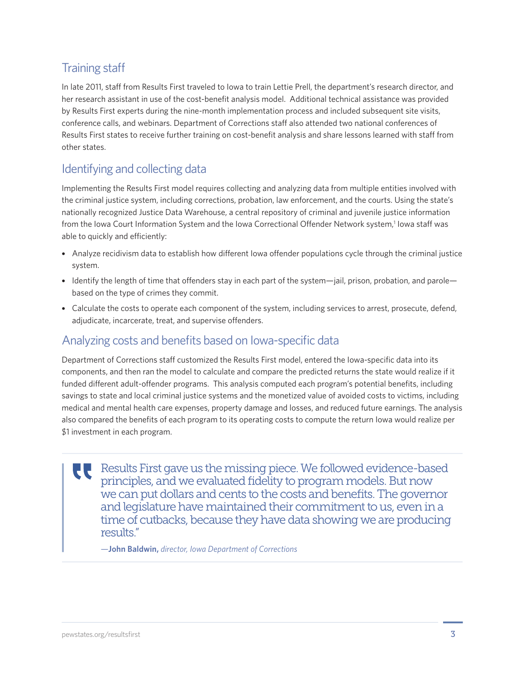#### Training staff

In late 2011, staff from Results First traveled to Iowa to train Lettie Prell, the department's research director, and her research assistant in use of the cost-benefit analysis model. Additional technical assistance was provided by Results First experts during the nine-month implementation process and included subsequent site visits, conference calls, and webinars. Department of Corrections staff also attended two national conferences of Results First states to receive further training on cost-benefit analysis and share lessons learned with staff from other states.

#### Identifying and collecting data

Implementing the Results First model requires collecting and analyzing data from multiple entities involved with the criminal justice system, including corrections, probation, law enforcement, and the courts. Using the state's nationally recognized Justice Data Warehouse, a central repository of criminal and juvenile justice information from the Iowa Court Information System and the Iowa Correctional Offender Network system,<sup>1</sup> Iowa staff was able to quickly and efficiently:

- Analyze recidivism data to establish how different Iowa offender populations cycle through the criminal justice system.
- Identify the length of time that offenders stay in each part of the system—jail, prison, probation, and parole based on the type of crimes they commit.
- Calculate the costs to operate each component of the system, including services to arrest, prosecute, defend, adjudicate, incarcerate, treat, and supervise offenders.

#### Analyzing costs and benefits based on Iowa-specific data

Department of Corrections staff customized the Results First model, entered the Iowa-specific data into its components, and then ran the model to calculate and compare the predicted returns the state would realize if it funded different adult-offender programs. This analysis computed each program's potential benefits, including savings to state and local criminal justice systems and the monetized value of avoided costs to victims, including medical and mental health care expenses, property damage and losses, and reduced future earnings. The analysis also compared the benefits of each program to its operating costs to compute the return Iowa would realize per \$1 investment in each program.

Results First gave us the missing piece. We followed evidence-based principles, and we evaluated fidelity to program models. But now we can put dollars and cents to the costs and benefits. The governor and legislature have maintained their commitment to us, even in a time of cutbacks, because they have data showing we are producing results."

*—***John Baldwin,** *director, Iowa Department of Corrections*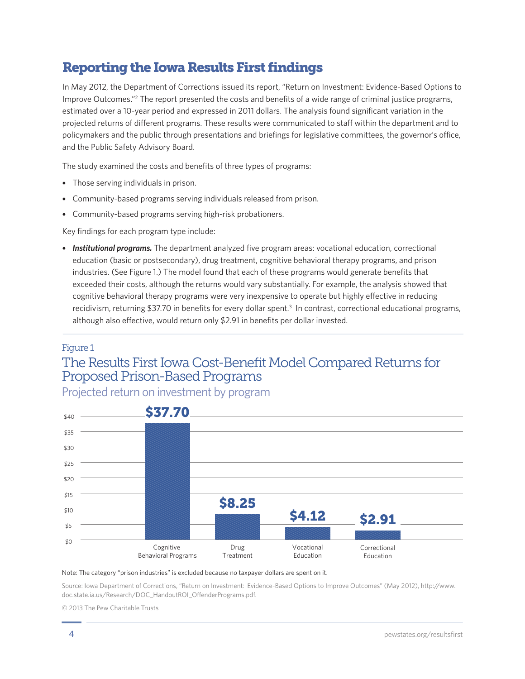## Reporting the Iowa Results First findings

In May 2012, the Department of Corrections issued its report, "Return on Investment: Evidence-Based Options to Improve Outcomes."<sup>2</sup> The report presented the costs and benefits of a wide range of criminal justice programs, estimated over a 10-year period and expressed in 2011 dollars. The analysis found significant variation in the projected returns of different programs. These results were communicated to staff within the department and to policymakers and the public through presentations and briefings for legislative committees, the governor's office, and the Public Safety Advisory Board.

The study examined the costs and benefits of three types of programs:

- Those serving individuals in prison.
- Community-based programs serving individuals released from prison.
- Community-based programs serving high-risk probationers.

Key findings for each program type include:

• **Institutional programs.** The department analyzed five program areas: vocational education, correctional education (basic or postsecondary), drug treatment, cognitive behavioral therapy programs, and prison industries. (See Figure 1.) The model found that each of these programs would generate benefits that exceeded their costs, although the returns would vary substantially. For example, the analysis showed that cognitive behavioral therapy programs were very inexpensive to operate but highly effective in reducing recidivism, returning \$37.70 in benefits for every dollar spent.<sup>3</sup> In contrast, correctional educational programs, although also effective, would return only \$2.91 in benefits per dollar invested.

#### Figure 1

### The Results First Iowa Cost-Benefit Model Compared Returns for Proposed Prison-Based Programs

Projected return on investment by program



#### Note: The category "prison industries" is excluded because no taxpayer dollars are spent on it.

Source: Iowa Department of Corrections, "Return on Investment: Evidence-Based Options to Improve Outcomes" (May 2012), http://www. doc.state.ia.us/Research/DOC\_HandoutROI\_OffenderPrograms.pdf.

© 2013 The Pew Charitable Trusts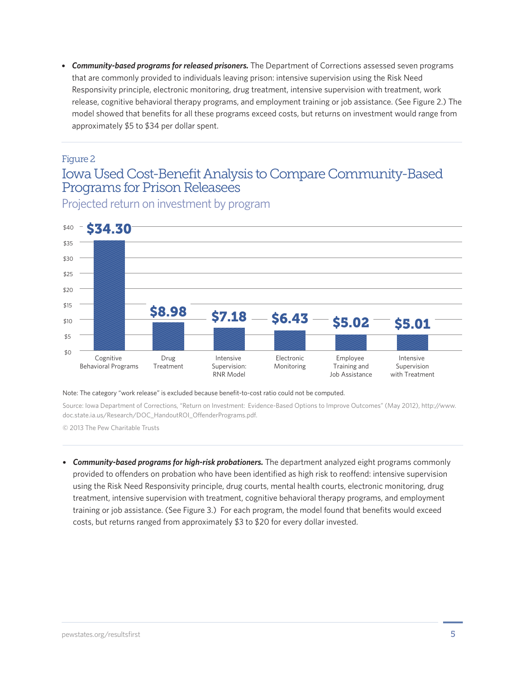• *Community-based programs for released prisoners.* The Department of Corrections assessed seven programs that are commonly provided to individuals leaving prison: intensive supervision using the Risk Need Responsivity principle, electronic monitoring, drug treatment, intensive supervision with treatment, work release, cognitive behavioral therapy programs, and employment training or job assistance. (See Figure 2.) The model showed that benefits for all these programs exceed costs, but returns on investment would range from approximately \$5 to \$34 per dollar spent.

#### Figure 2

#### Iowa Used Cost-Benefit Analysis to Compare Community-Based Programs for Prison Releasees

Projected return on investment by program



Note: The category "work release" is excluded because benefit-to-cost ratio could not be computed.

Source: Iowa Department of Corrections, "Return on Investment: Evidence-Based Options to Improve Outcomes" (May 2012), http://www. doc.state.ia.us/Research/DOC\_HandoutROI\_OffenderPrograms.pdf.

© 2013 The Pew Charitable Trusts

• *Community-based programs for high-risk probationers.* The department analyzed eight programs commonly provided to offenders on probation who have been identified as high risk to reoffend: intensive supervision using the Risk Need Responsivity principle, drug courts, mental health courts, electronic monitoring, drug treatment, intensive supervision with treatment, cognitive behavioral therapy programs, and employment training or job assistance. (See Figure 3.) For each program, the model found that benefits would exceed costs, but returns ranged from approximately \$3 to \$20 for every dollar invested.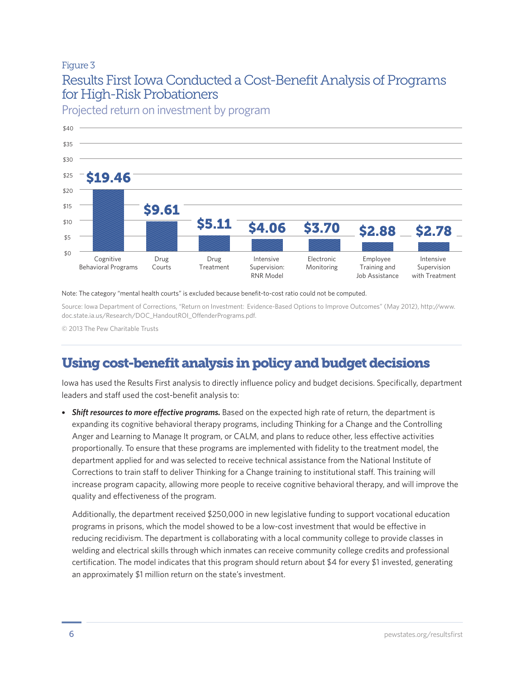#### Figure 3 Results First Iowa Conducted a Cost-Benefit Analysis of Programs for High-Risk Probationers



Projected return on investment by program

#### Note: The category "mental health courts" is excluded because benefit-to-cost ratio could not be computed.

Source: Iowa Department of Corrections, "Return on Investment: Evidence-Based Options to Improve Outcomes" (May 2012), http://www. doc.state.ia.us/Research/DOC\_HandoutROI\_OffenderPrograms.pdf.

© 2013 The Pew Charitable Trusts

## Using cost-benefit analysis in policy and budget decisions

Iowa has used the Results First analysis to directly influence policy and budget decisions. Specifically, department leaders and staff used the cost-benefit analysis to:

• *Shift resources to more effective programs.* Based on the expected high rate of return, the department is expanding its cognitive behavioral therapy programs, including Thinking for a Change and the Controlling Anger and Learning to Manage It program, or CALM, and plans to reduce other, less effective activities proportionally. To ensure that these programs are implemented with fidelity to the treatment model, the department applied for and was selected to receive technical assistance from the National Institute of Corrections to train staff to deliver Thinking for a Change training to institutional staff. This training will increase program capacity, allowing more people to receive cognitive behavioral therapy, and will improve the quality and effectiveness of the program.

Additionally, the department received \$250,000 in new legislative funding to support vocational education programs in prisons, which the model showed to be a low-cost investment that would be effective in reducing recidivism. The department is collaborating with a local community college to provide classes in welding and electrical skills through which inmates can receive community college credits and professional certification. The model indicates that this program should return about \$4 for every \$1 invested, generating an approximately \$1 million return on the state's investment.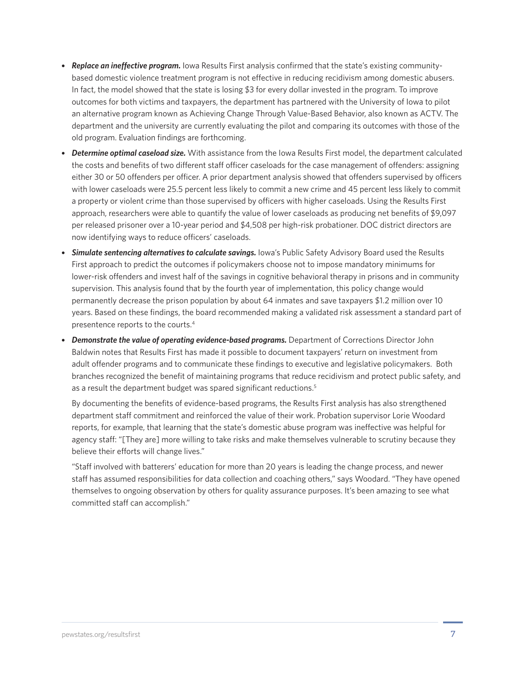- *Replace an ineffective program.* Iowa Results First analysis confirmed that the state's existing communitybased domestic violence treatment program is not effective in reducing recidivism among domestic abusers. In fact, the model showed that the state is losing \$3 for every dollar invested in the program. To improve outcomes for both victims and taxpayers, the department has partnered with the University of Iowa to pilot an alternative program known as Achieving Change Through Value-Based Behavior, also known as ACTV. The department and the university are currently evaluating the pilot and comparing its outcomes with those of the old program. Evaluation findings are forthcoming.
- *Determine optimal caseload size.* With assistance from the Iowa Results First model, the department calculated the costs and benefits of two different staff officer caseloads for the case management of offenders: assigning either 30 or 50 offenders per officer. A prior department analysis showed that offenders supervised by officers with lower caseloads were 25.5 percent less likely to commit a new crime and 45 percent less likely to commit a property or violent crime than those supervised by officers with higher caseloads. Using the Results First approach, researchers were able to quantify the value of lower caseloads as producing net benefits of \$9,097 per released prisoner over a 10-year period and \$4,508 per high-risk probationer. DOC district directors are now identifying ways to reduce officers' caseloads.
- **Simulate sentencing alternatives to calculate savings.** Iowa's Public Safety Advisory Board used the Results First approach to predict the outcomes if policymakers choose not to impose mandatory minimums for lower-risk offenders and invest half of the savings in cognitive behavioral therapy in prisons and in community supervision. This analysis found that by the fourth year of implementation, this policy change would permanently decrease the prison population by about 64 inmates and save taxpayers \$1.2 million over 10 years. Based on these findings, the board recommended making a validated risk assessment a standard part of presentence reports to the courts.4
- Demonstrate the value of operating evidence-based programs. Department of Corrections Director John Baldwin notes that Results First has made it possible to document taxpayers' return on investment from adult offender programs and to communicate these findings to executive and legislative policymakers. Both branches recognized the benefit of maintaining programs that reduce recidivism and protect public safety, and as a result the department budget was spared significant reductions.<sup>5</sup>

By documenting the benefits of evidence-based programs, the Results First analysis has also strengthened department staff commitment and reinforced the value of their work. Probation supervisor Lorie Woodard reports, for example, that learning that the state's domestic abuse program was ineffective was helpful for agency staff: "[They are] more willing to take risks and make themselves vulnerable to scrutiny because they believe their efforts will change lives."

"Staff involved with batterers' education for more than 20 years is leading the change process, and newer staff has assumed responsibilities for data collection and coaching others," says Woodard. "They have opened themselves to ongoing observation by others for quality assurance purposes. It's been amazing to see what committed staff can accomplish."